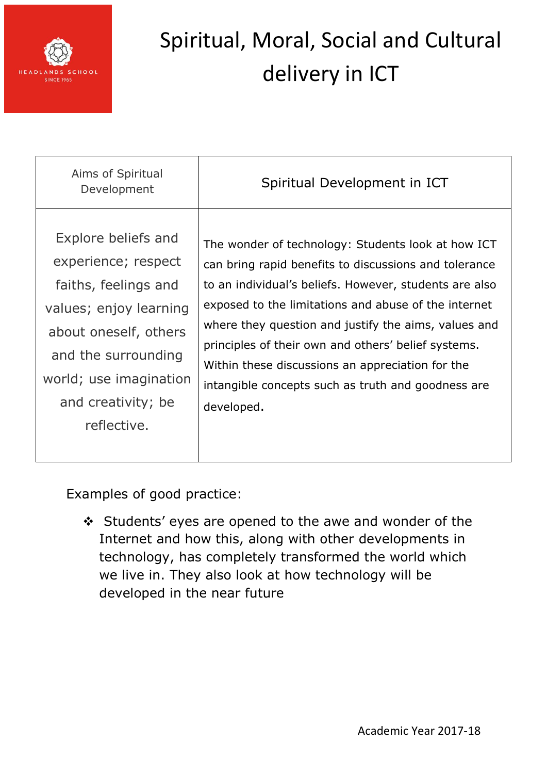

| Aims of Spiritual<br>Development | Spiritual Development in ICT                           |
|----------------------------------|--------------------------------------------------------|
| Explore beliefs and              | The wonder of technology: Students look at how ICT     |
| experience; respect              | can bring rapid benefits to discussions and tolerance  |
| faiths, feelings and             | to an individual's beliefs. However, students are also |
| values; enjoy learning           | exposed to the limitations and abuse of the internet   |
| about oneself, others            | where they question and justify the aims, values and   |
| and the surrounding              | principles of their own and others' belief systems.    |
| world; use imagination           | Within these discussions an appreciation for the       |
| and creativity; be               | intangible concepts such as truth and goodness are     |
| reflective.                      | developed.                                             |

Examples of good practice:

 Students' eyes are opened to the awe and wonder of the Internet and how this, along with other developments in technology, has completely transformed the world which we live in. They also look at how technology will be developed in the near future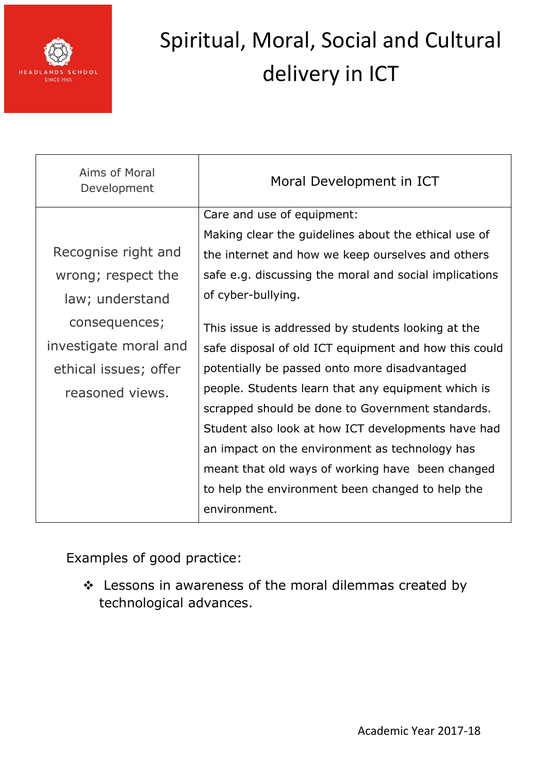

| Aims of Moral<br>Development | Moral Development in ICT                               |
|------------------------------|--------------------------------------------------------|
|                              | Care and use of equipment:                             |
|                              | Making clear the guidelines about the ethical use of   |
| Recognise right and          | the internet and how we keep ourselves and others      |
| wrong; respect the           | safe e.g. discussing the moral and social implications |
| law; understand              | of cyber-bullying.                                     |
| consequences;                | This issue is addressed by students looking at the     |
| investigate moral and        | safe disposal of old ICT equipment and how this could  |
| ethical issues; offer        | potentially be passed onto more disadvantaged          |
| reasoned views.              | people. Students learn that any equipment which is     |
|                              | scrapped should be done to Government standards.       |
|                              | Student also look at how ICT developments have had     |
|                              | an impact on the environment as technology has         |
|                              | meant that old ways of working have been changed       |
|                              | to help the environment been changed to help the       |
|                              | environment.                                           |

Examples of good practice:

 Lessons in awareness of the moral dilemmas created by technological advances.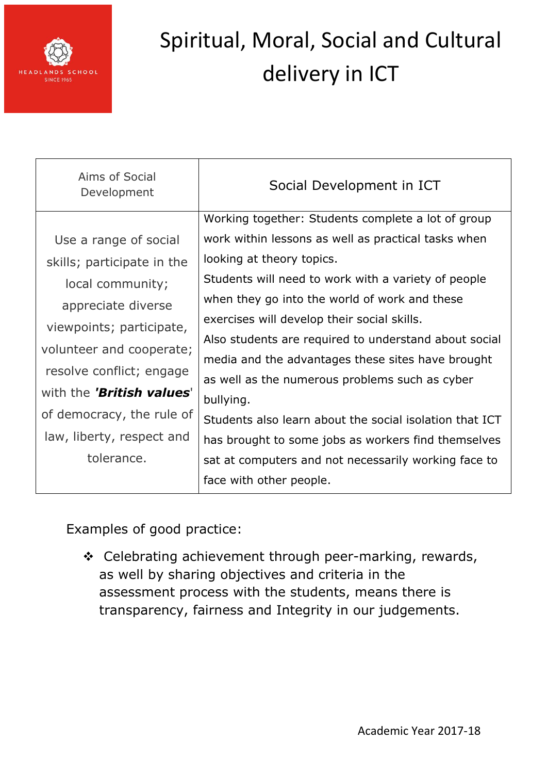

| Aims of Social<br>Development | Social Development in ICT                               |
|-------------------------------|---------------------------------------------------------|
|                               | Working together: Students complete a lot of group      |
| Use a range of social         | work within lessons as well as practical tasks when     |
| skills; participate in the    | looking at theory topics.                               |
| local community;              | Students will need to work with a variety of people     |
| appreciate diverse            | when they go into the world of work and these           |
| viewpoints; participate,      | exercises will develop their social skills.             |
| volunteer and cooperate;      | Also students are required to understand about social   |
|                               | media and the advantages these sites have brought       |
| resolve conflict; engage      | as well as the numerous problems such as cyber          |
| with the 'British values'     | bullying.                                               |
| of democracy, the rule of     | Students also learn about the social isolation that ICT |
| law, liberty, respect and     | has brought to some jobs as workers find themselves     |
| tolerance.                    | sat at computers and not necessarily working face to    |
|                               | face with other people.                                 |

Examples of good practice:

❖ Celebrating achievement through peer-marking, rewards, as well by sharing objectives and criteria in the assessment process with the students, means there is transparency, fairness and Integrity in our judgements.